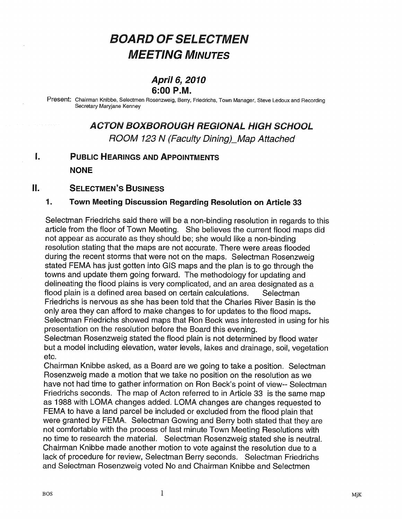# BOARD OF SELECTMEN MEETING MINUTES

### April 6, 2010 6:00 P.M.

Present: Chairman Knibbe, Selectmen Rosenzweig, Berry, Friedrichs, Town Manager, Steve Ledoux and Recording Secretary Maryjane Kenney

### ACTON BOXBOROUGH REGIONAL HIGH SCHOOL ROOM 123 N (Faculty Dining)\_Map Attached

#### $\mathbf{I}$ PUBLIC HEARINGS AND APPOINTMENTS **NONE**

#### $\prod$ SELECTMEN'S BUSINESS

### 1. Town Meeting Discussion Regarding Resolution on Article 33

Selectman Friedrichs said there will be a non-binding resolution in regards to this article from the floor of Town Meeting. She believes the current flood maps did not appear as accurate as they should be; she would like a non-binding resolution stating that the maps are not accurate. There were areas flooded during the recent storms that were not on the maps. Selectman Rosenzweig stated FEMA has just goffen into GIS maps and the plan is to go through the towns and update them going forward. The methodology for updating and delineating the flood plains is very complicated, and an area designated as a flood plain is a defined area based on certain calculations. Selectman Friedrichs is nervous as she has been told that the Charles River Basin is the only area they can afford to make changes to for updates to the flood maps Selectman Friedrichs showed maps that Ron Beck was interested in using for his presentation on the resolution before the Board this evening.

Selectman Rosenzweig stated the flood plain is not determined by flood water but a model including elevation, water levels, lakes and drainage, soil, vegetation etc.

Chairman Knibbe asked, as a Board are we going to take a position. Selectman Rosenzweig made a motion that we take no position on the resolution as we have not had time to gather information on Ron Beck's point of view-- Selectman Friedrichs seconds. The map of Acton referred to in Article 33 is the same map as 1988 with LOMA changes added. LOMA changes are changes requested to FEMA to have a land parcel be included or excluded from the flood plain that were granted by FEMA. Selectman Gowing and Berry both stated that they are not comfortable with the process of last minute Town Meeting Resolutions with no time to research the material. Selectman Rosenzweig stated she is neutral. Chairman Knibbe made another motion to vote against the resolution due to a lack of procedure for review, Selectman Berry seconds. Selectman Friedrichs and Selectman Rosenzweig voted No and Chairman Knibbe and Selectmen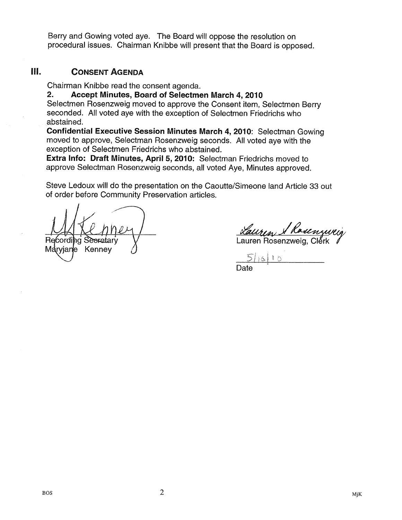Berry and Gowing voted aye. The Board will oppose the resolution on procedural issues. Chairman Knibbe will present that the Board is opposed.

### III. CONSENT AGENDA

Chairman Knibbe read the consent agenda.

2. Accept Minutes, Board of Selectmen March 4, 2010

Selectmen Rosenzweig moved to approve the Consent item, Selectmen Berry seconded. All voted aye with the exception of Selectmen Friedrichs who abstained.

Confidential Executive Session Minutes March 4, 2010: Selectman Gowing moved to approve, Selectman Rosenzweig seconds. All voted aye with the exception of Selectmen Friedrichs who abstained.

Extra Info: Draft Minutes, April 5, 2010: Selectman Friedrichs moved to approve Selectman Rosenzweig seconds, all voted Aye, Minutes approved.

Steve Ledoux will do the presentation on the Caoutte/Simeone land Article 33 out of order before Community Preservation articles.

MRL/MLL/ Rauren Rosenzweig<br>Recording Secretary V Lauren Rosenzweig, Clerk

Maryjane Kenney

 $16110$ Date